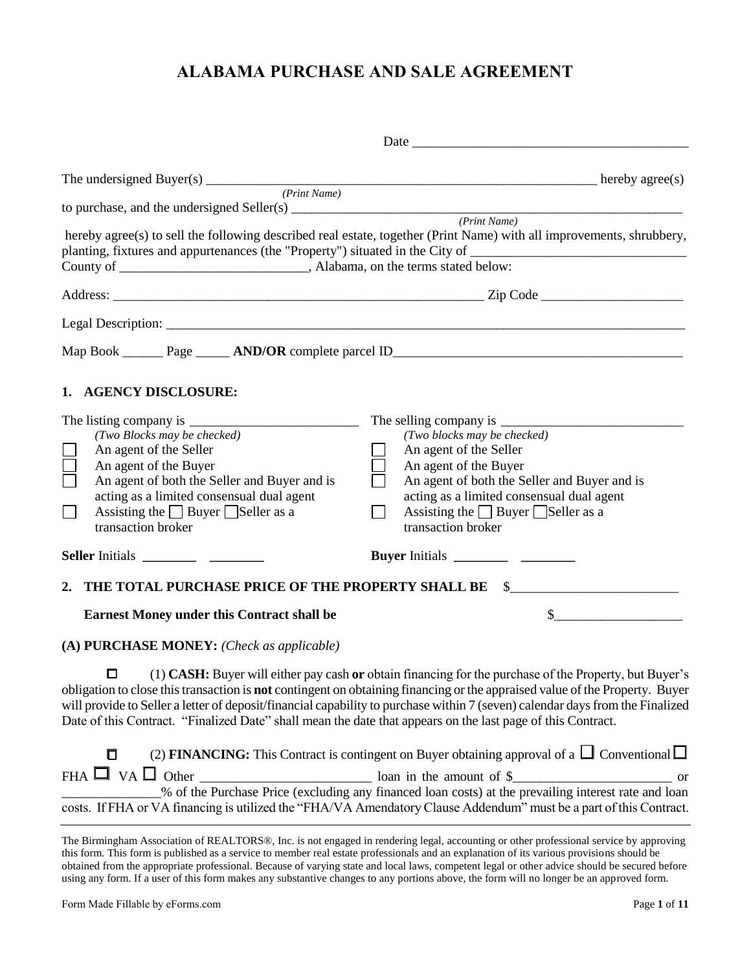# **ALABAMA PURCHASE AND SALE AGREEMENT**

|                                                                                                                       | The undersigned Buyer(s) $\frac{(Print Name)}{(Print Name)}$                                                                                                                                                                                                                                                                                                                                                                                                                     |
|-----------------------------------------------------------------------------------------------------------------------|----------------------------------------------------------------------------------------------------------------------------------------------------------------------------------------------------------------------------------------------------------------------------------------------------------------------------------------------------------------------------------------------------------------------------------------------------------------------------------|
|                                                                                                                       |                                                                                                                                                                                                                                                                                                                                                                                                                                                                                  |
| to purchase, and the undersigned Seller(s) $\frac{P_{\text{rint}}\text{Name}}{P_{\text{cont}}\text{Name}}}$           |                                                                                                                                                                                                                                                                                                                                                                                                                                                                                  |
|                                                                                                                       | hereby agree(s) to sell the following described real estate, together (Print Name) with all improvements, shrubbery,<br>planting, fixtures and appurtenances (the "Property") situated in the City of ________________________________                                                                                                                                                                                                                                           |
|                                                                                                                       |                                                                                                                                                                                                                                                                                                                                                                                                                                                                                  |
|                                                                                                                       |                                                                                                                                                                                                                                                                                                                                                                                                                                                                                  |
|                                                                                                                       |                                                                                                                                                                                                                                                                                                                                                                                                                                                                                  |
| 1. AGENCY DISCLOSURE:                                                                                                 |                                                                                                                                                                                                                                                                                                                                                                                                                                                                                  |
|                                                                                                                       |                                                                                                                                                                                                                                                                                                                                                                                                                                                                                  |
| (Two Blocks may be checked)                                                                                           | (Two blocks may be checked)                                                                                                                                                                                                                                                                                                                                                                                                                                                      |
| An agent of the Seller                                                                                                | An agent of the Seller                                                                                                                                                                                                                                                                                                                                                                                                                                                           |
| An agent of the Buyer                                                                                                 | An agent of the Buyer                                                                                                                                                                                                                                                                                                                                                                                                                                                            |
| An agent of both the Seller and Buyer and is                                                                          | An agent of both the Seller and Buyer and is                                                                                                                                                                                                                                                                                                                                                                                                                                     |
| acting as a limited consensual dual agent                                                                             | acting as a limited consensual dual agent                                                                                                                                                                                                                                                                                                                                                                                                                                        |
| Assisting the $\Box$ Buyer $\Box$ Seller as a<br>$\Box$                                                               | Assisting the $\Box$ Buyer $\Box$ Seller as a<br>$\Box$                                                                                                                                                                                                                                                                                                                                                                                                                          |
| transaction broker                                                                                                    | transaction broker                                                                                                                                                                                                                                                                                                                                                                                                                                                               |
|                                                                                                                       |                                                                                                                                                                                                                                                                                                                                                                                                                                                                                  |
|                                                                                                                       | 2. THE TOTAL PURCHASE PRICE OF THE PROPERTY SHALL BE \$                                                                                                                                                                                                                                                                                                                                                                                                                          |
| <b>Earnest Money under this Contract shall be</b>                                                                     | $\sim$                                                                                                                                                                                                                                                                                                                                                                                                                                                                           |
| (A) PURCHASE MONEY: (Check as applicable)                                                                             |                                                                                                                                                                                                                                                                                                                                                                                                                                                                                  |
| □<br>Date of this Contract. "Finalized Date" shall mean the date that appears on the last page of this Contract.<br>O | (1) CASH: Buyer will either pay cash or obtain financing for the purchase of the Property, but Buyer's<br>obligation to close this transaction is not contingent on obtaining financing or the appraised value of the Property. Buyer<br>will provide to Seller a letter of deposit/financial capability to purchase within 7 (seven) calendar days from the Finalized<br>(2) FINANCING: This Contract is contingent on Buyer obtaining approval of a $\Box$ Conventional $\Box$ |
|                                                                                                                       |                                                                                                                                                                                                                                                                                                                                                                                                                                                                                  |
|                                                                                                                       | % of the Purchase Price (excluding any financed loan costs) at the prevailing interest rate and loan                                                                                                                                                                                                                                                                                                                                                                             |
|                                                                                                                       | costs. If FHA or VA financing is utilized the "FHA/VA Amendatory Clause Addendum" must be a part of this Contract.                                                                                                                                                                                                                                                                                                                                                               |
|                                                                                                                       |                                                                                                                                                                                                                                                                                                                                                                                                                                                                                  |

The Birmingham Association of REALTORS®, Inc. is not engaged in rendering legal, accounting or other professional service by approving this form. This form is published as a service to member real estate professionals and an explanation of its various provisions should be obtained from the appropriate professional. Because of varying state and local laws, competent legal or other advice should be secured before using any form. If a user of this form makes any substantive changes to any portions above, the form will no longer be an approved form.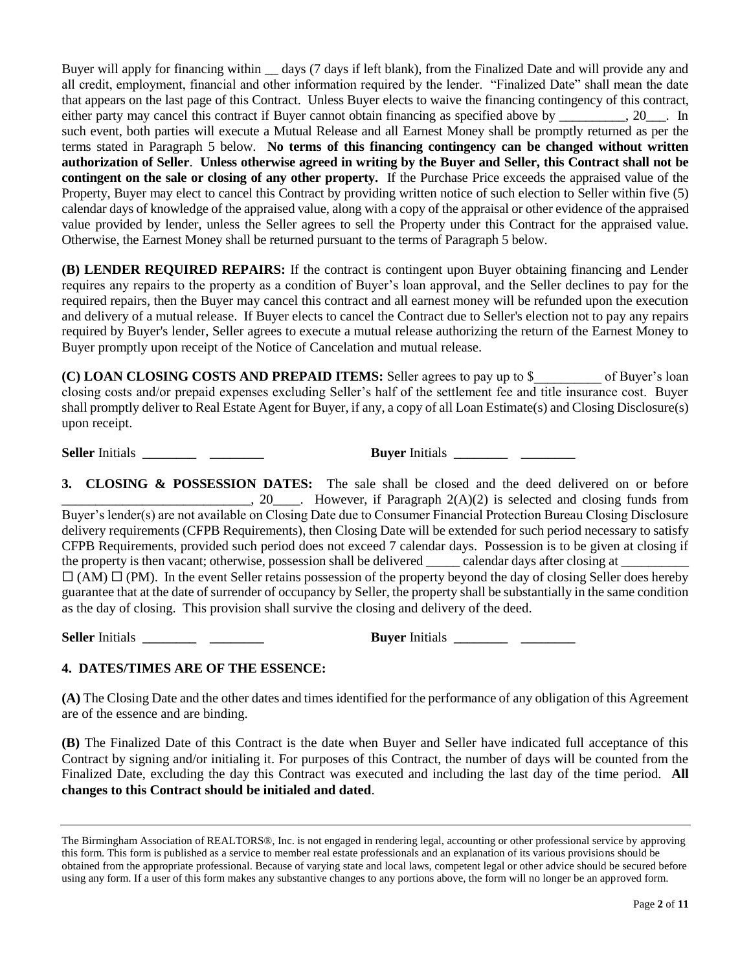Buyer will apply for financing within days (7 days if left blank), from the Finalized Date and will provide any and all credit, employment, financial and other information required by the lender. "Finalized Date" shall mean the date that appears on the last page of this Contract. Unless Buyer elects to waive the financing contingency of this contract, either party may cancel this contract if Buyer cannot obtain financing as specified above by \_\_\_\_\_\_\_, 20\_\_\_. In such event, both parties will execute a Mutual Release and all Earnest Money shall be promptly returned as per the terms stated in Paragraph 5 below. **No terms of this financing contingency can be changed without written authorization of Seller**. **Unless otherwise agreed in writing by the Buyer and Seller, this Contract shall not be contingent on the sale or closing of any other property.** If the Purchase Price exceeds the appraised value of the Property, Buyer may elect to cancel this Contract by providing written notice of such election to Seller within five (5) calendar days of knowledge of the appraised value, along with a copy of the appraisal or other evidence of the appraised value provided by lender, unless the Seller agrees to sell the Property under this Contract for the appraised value. Otherwise, the Earnest Money shall be returned pursuant to the terms of Paragraph 5 below.

**(B) LENDER REQUIRED REPAIRS:** If the contract is contingent upon Buyer obtaining financing and Lender requires any repairs to the property as a condition of Buyer's loan approval, and the Seller declines to pay for the required repairs, then the Buyer may cancel this contract and all earnest money will be refunded upon the execution and delivery of a mutual release. If Buyer elects to cancel the Contract due to Seller's election not to pay any repairs required by Buyer's lender, Seller agrees to execute a mutual release authorizing the return of the Earnest Money to Buyer promptly upon receipt of the Notice of Cancelation and mutual release.

**(C) LOAN CLOSING COSTS AND PREPAID ITEMS:** Seller agrees to pay up to \$\_\_\_\_\_\_\_\_\_\_ of Buyer's loan closing costs and/or prepaid expenses excluding Seller's half of the settlement fee and title insurance cost. Buyer shall promptly deliver to Real Estate Agent for Buyer, if any, a copy of all Loan Estimate(s) and Closing Disclosure(s) upon receipt.

**Seller** Initials **\_\_\_\_\_\_\_\_ \_\_\_\_\_\_\_\_ Buyer** Initials **\_\_\_\_\_\_\_\_ \_\_\_\_\_\_\_\_**

**3. CLOSING & POSSESSION DATES:** The sale shall be closed and the deed delivered on or before  $\Box$ , 20 $\Box$ . However, if Paragraph 2(A)(2) is selected and closing funds from Buyer's lender(s) are not available on Closing Date due to Consumer Financial Protection Bureau Closing Disclosure delivery requirements (CFPB Requirements), then Closing Date will be extended for such period necessary to satisfy CFPB Requirements, provided such period does not exceed 7 calendar days. Possession is to be given at closing if the property is then vacant; otherwise, possession shall be delivered calendar days after closing at  $\Box$  (AM)  $\Box$  (PM). In the event Seller retains possession of the property beyond the day of closing Seller does hereby guarantee that at the date of surrender of occupancy by Seller, the property shall be substantially in the same condition as the day of closing. This provision shall survive the closing and delivery of the deed.

**Seller** Initials **\_\_\_\_\_\_\_\_ \_\_\_\_\_\_\_\_ Buyer** Initials **\_\_\_\_\_\_\_\_ \_\_\_\_\_\_\_\_**

| <b>Buyer</b> Initials |  |  |
|-----------------------|--|--|
|-----------------------|--|--|

### **4. DATES/TIMES ARE OF THE ESSENCE:**

**(A)** The Closing Date and the other dates and times identified for the performance of any obligation of this Agreement are of the essence and are binding.

**(B)** The Finalized Date of this Contract is the date when Buyer and Seller have indicated full acceptance of this Contract by signing and/or initialing it. For purposes of this Contract, the number of days will be counted from the Finalized Date, excluding the day this Contract was executed and including the last day of the time period. **All changes to this Contract should be initialed and dated**.

The Birmingham Association of REALTORS®, Inc. is not engaged in rendering legal, accounting or other professional service by approving this form. This form is published as a service to member real estate professionals and an explanation of its various provisions should be obtained from the appropriate professional. Because of varying state and local laws, competent legal or other advice should be secured before using any form. If a user of this form makes any substantive changes to any portions above, the form will no longer be an approved form.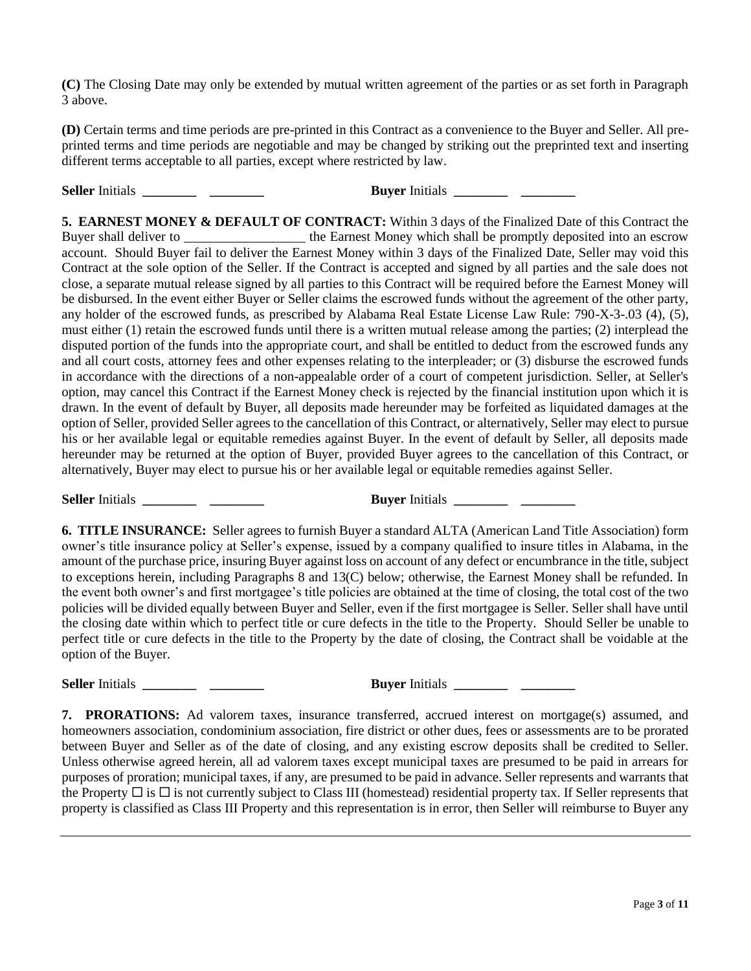**(C)** The Closing Date may only be extended by mutual written agreement of the parties or as set forth in Paragraph 3 above.

**(D)** Certain terms and time periods are pre-printed in this Contract as a convenience to the Buyer and Seller. All preprinted terms and time periods are negotiable and may be changed by striking out the preprinted text and inserting different terms acceptable to all parties, except where restricted by law.

**Seller** Initials **\_\_\_\_\_\_\_\_ \_\_\_\_\_\_\_\_ Buyer** Initials **\_\_\_\_\_\_\_\_ \_\_\_\_\_\_\_\_**

**5. EARNEST MONEY & DEFAULT OF CONTRACT:** Within 3 days of the Finalized Date of this Contract the Buyer shall deliver to \_\_\_\_\_\_\_\_\_\_\_\_\_\_\_\_\_\_\_\_\_\_ the Earnest Money which shall be promptly deposited into an escrow account. Should Buyer fail to deliver the Earnest Money within 3 days of the Finalized Date, Seller may void this Contract at the sole option of the Seller. If the Contract is accepted and signed by all parties and the sale does not close, a separate mutual release signed by all parties to this Contract will be required before the Earnest Money will be disbursed. In the event either Buyer or Seller claims the escrowed funds without the agreement of the other party, any holder of the escrowed funds, as prescribed by Alabama Real Estate License Law Rule: 790-X-3-.03 (4), (5), must either (1) retain the escrowed funds until there is a written mutual release among the parties; (2) interplead the disputed portion of the funds into the appropriate court, and shall be entitled to deduct from the escrowed funds any and all court costs, attorney fees and other expenses relating to the interpleader; or (3) disburse the escrowed funds in accordance with the directions of a non-appealable order of a court of competent jurisdiction. Seller, at Seller's option, may cancel this Contract if the Earnest Money check is rejected by the financial institution upon which it is drawn. In the event of default by Buyer, all deposits made hereunder may be forfeited as liquidated damages at the option of Seller, provided Seller agrees to the cancellation of this Contract, or alternatively, Seller may elect to pursue his or her available legal or equitable remedies against Buyer. In the event of default by Seller, all deposits made hereunder may be returned at the option of Buyer, provided Buyer agrees to the cancellation of this Contract, or alternatively, Buyer may elect to pursue his or her available legal or equitable remedies against Seller.

**Seller** Initials **\_\_\_\_\_\_\_\_ \_\_\_\_\_\_\_\_ Buyer** Initials **\_\_\_\_\_\_\_\_ \_\_\_\_\_\_\_\_**

**6. TITLE INSURANCE:** Seller agrees to furnish Buyer a standard ALTA (American Land Title Association) form owner's title insurance policy at Seller's expense, issued by a company qualified to insure titles in Alabama, in the amount of the purchase price, insuring Buyer against loss on account of any defect or encumbrance in the title, subject to exceptions herein, including Paragraphs 8 and 13(C) below; otherwise, the Earnest Money shall be refunded. In the event both owner's and first mortgagee's title policies are obtained at the time of closing, the total cost of the two policies will be divided equally between Buyer and Seller, even if the first mortgagee is Seller. Seller shall have until the closing date within which to perfect title or cure defects in the title to the Property. Should Seller be unable to perfect title or cure defects in the title to the Property by the date of closing, the Contract shall be voidable at the option of the Buyer.

**Seller** Initials **\_\_\_\_\_\_\_\_ \_\_\_\_\_\_\_\_ Buyer** Initials **\_\_\_\_\_\_\_\_ \_\_\_\_\_\_\_\_**

**7. PRORATIONS:** Ad valorem taxes, insurance transferred, accrued interest on mortgage(s) assumed, and homeowners association, condominium association, fire district or other dues, fees or assessments are to be prorated between Buyer and Seller as of the date of closing, and any existing escrow deposits shall be credited to Seller. Unless otherwise agreed herein, all ad valorem taxes except municipal taxes are presumed to be paid in arrears for purposes of proration; municipal taxes, if any, are presumed to be paid in advance. Seller represents and warrants that the Property  $\Box$  is  $\Box$  is not currently subject to Class III (homestead) residential property tax. If Seller represents that property is classified as Class III Property and this representation is in error, then Seller will reimburse to Buyer any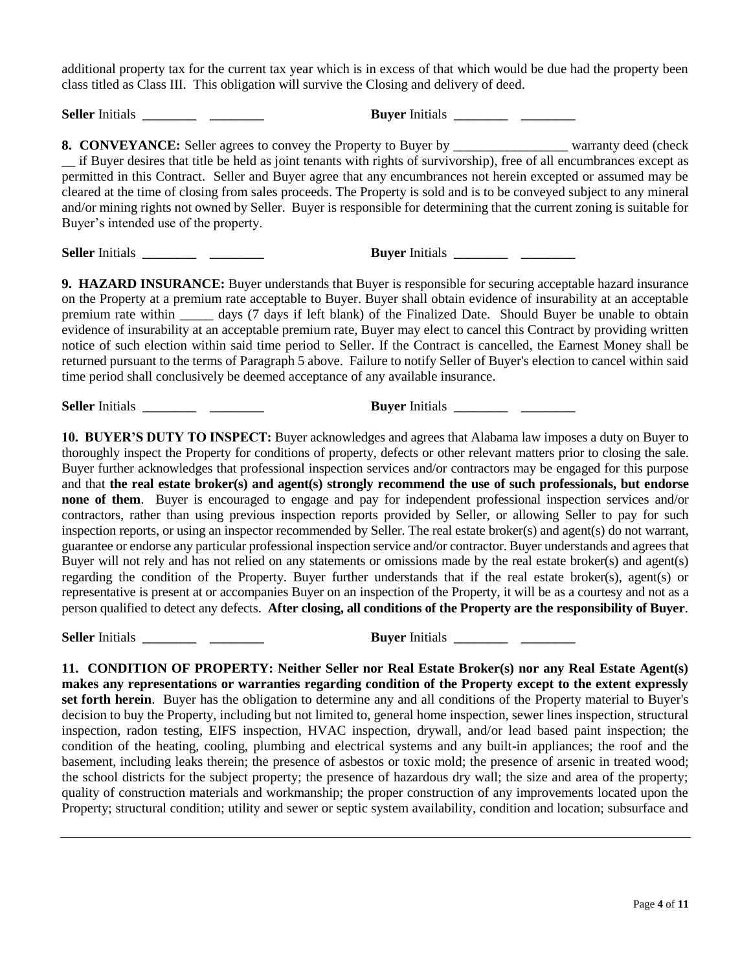additional property tax for the current tax year which is in excess of that which would be due had the property been class titled as Class III. This obligation will survive the Closing and delivery of deed.

**Seller** Initials **\_\_\_\_\_\_\_\_ \_\_\_\_\_\_\_\_ Buyer** Initials **\_\_\_\_\_\_\_\_ \_\_\_\_\_\_\_\_**

**8. CONVEYANCE:** Seller agrees to convey the Property to Buyer by \_\_\_\_\_\_\_\_\_\_\_\_\_\_\_\_\_\_\_\_ warranty deed (check \_\_ if Buyer desires that title be held as joint tenants with rights of survivorship), free of all encumbrances except as permitted in this Contract. Seller and Buyer agree that any encumbrances not herein excepted or assumed may be cleared at the time of closing from sales proceeds. The Property is sold and is to be conveyed subject to any mineral and/or mining rights not owned by Seller. Buyer is responsible for determining that the current zoning is suitable for Buyer's intended use of the property.

**Seller** Initials **\_\_\_\_\_\_\_\_ \_\_\_\_\_\_\_\_ Buyer** Initials **\_\_\_\_\_\_\_\_ \_\_\_\_\_\_\_\_**

**9. HAZARD INSURANCE:** Buyer understands that Buyer is responsible for securing acceptable hazard insurance on the Property at a premium rate acceptable to Buyer. Buyer shall obtain evidence of insurability at an acceptable premium rate within \_\_\_\_\_ days (7 days if left blank) of the Finalized Date. Should Buyer be unable to obtain evidence of insurability at an acceptable premium rate, Buyer may elect to cancel this Contract by providing written notice of such election within said time period to Seller. If the Contract is cancelled, the Earnest Money shall be returned pursuant to the terms of Paragraph 5 above. Failure to notify Seller of Buyer's election to cancel within said time period shall conclusively be deemed acceptance of any available insurance.

**Seller** Initials **\_\_\_\_\_\_\_\_ \_\_\_\_\_\_\_\_ Buyer** Initials **\_\_\_\_\_\_\_\_ \_\_\_\_\_\_\_\_**

**10. BUYER'S DUTY TO INSPECT:** Buyer acknowledges and agrees that Alabama law imposes a duty on Buyer to thoroughly inspect the Property for conditions of property, defects or other relevant matters prior to closing the sale. Buyer further acknowledges that professional inspection services and/or contractors may be engaged for this purpose and that **the real estate broker(s) and agent(s) strongly recommend the use of such professionals, but endorse none of them**. Buyer is encouraged to engage and pay for independent professional inspection services and/or contractors, rather than using previous inspection reports provided by Seller, or allowing Seller to pay for such inspection reports, or using an inspector recommended by Seller. The real estate broker(s) and agent(s) do not warrant, guarantee or endorse any particular professional inspection service and/or contractor. Buyer understands and agrees that Buyer will not rely and has not relied on any statements or omissions made by the real estate broker(s) and agent(s) regarding the condition of the Property. Buyer further understands that if the real estate broker(s), agent(s) or representative is present at or accompanies Buyer on an inspection of the Property, it will be as a courtesy and not as a person qualified to detect any defects. **After closing, all conditions of the Property are the responsibility of Buyer**.

**Seller** Initials **\_\_\_\_\_\_\_\_ \_\_\_\_\_\_\_\_ Buyer** Initials **\_\_\_\_\_\_\_\_ \_\_\_\_\_\_\_\_**

**11. CONDITION OF PROPERTY: Neither Seller nor Real Estate Broker(s) nor any Real Estate Agent(s) makes any representations or warranties regarding condition of the Property except to the extent expressly set forth herein**. Buyer has the obligation to determine any and all conditions of the Property material to Buyer's decision to buy the Property, including but not limited to, general home inspection, sewer lines inspection, structural inspection, radon testing, EIFS inspection, HVAC inspection, drywall, and/or lead based paint inspection; the condition of the heating, cooling, plumbing and electrical systems and any built-in appliances; the roof and the basement, including leaks therein; the presence of asbestos or toxic mold; the presence of arsenic in treated wood; the school districts for the subject property; the presence of hazardous dry wall; the size and area of the property; quality of construction materials and workmanship; the proper construction of any improvements located upon the Property; structural condition; utility and sewer or septic system availability, condition and location; subsurface and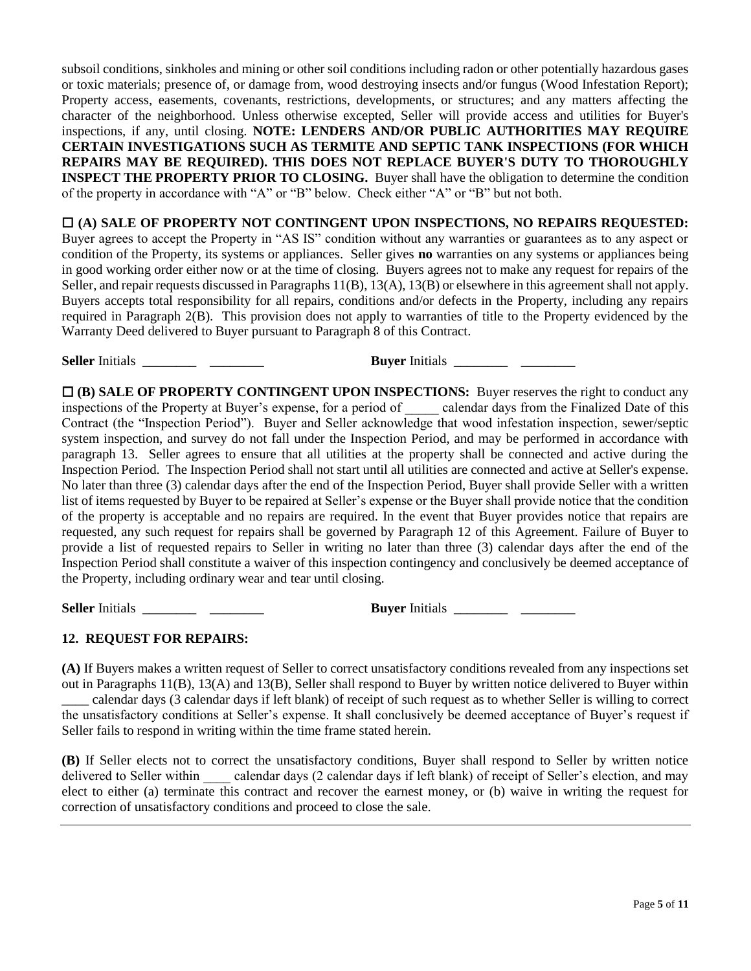subsoil conditions, sinkholes and mining or other soil conditions including radon or other potentially hazardous gases or toxic materials; presence of, or damage from, wood destroying insects and/or fungus (Wood Infestation Report); Property access, easements, covenants, restrictions, developments, or structures; and any matters affecting the character of the neighborhood. Unless otherwise excepted, Seller will provide access and utilities for Buyer's inspections, if any, until closing. **NOTE: LENDERS AND/OR PUBLIC AUTHORITIES MAY REQUIRE CERTAIN INVESTIGATIONS SUCH AS TERMITE AND SEPTIC TANK INSPECTIONS (FOR WHICH REPAIRS MAY BE REQUIRED). THIS DOES NOT REPLACE BUYER'S DUTY TO THOROUGHLY INSPECT THE PROPERTY PRIOR TO CLOSING.** Buyer shall have the obligation to determine the condition of the property in accordance with "A" or "B" below. Check either "A" or "B" but not both.

 **(A) SALE OF PROPERTY NOT CONTINGENT UPON INSPECTIONS, NO REPAIRS REQUESTED:** Buyer agrees to accept the Property in "AS IS" condition without any warranties or guarantees as to any aspect or condition of the Property, its systems or appliances. Seller gives **no** warranties on any systems or appliances being in good working order either now or at the time of closing. Buyers agrees not to make any request for repairs of the Seller, and repair requests discussed in Paragraphs 11(B), 13(A), 13(B) or elsewhere in this agreement shall not apply. Buyers accepts total responsibility for all repairs, conditions and/or defects in the Property, including any repairs required in Paragraph 2(B). This provision does not apply to warranties of title to the Property evidenced by the Warranty Deed delivered to Buyer pursuant to Paragraph 8 of this Contract.

**Seller** Initials **\_\_\_\_\_\_\_\_ \_\_\_\_\_\_\_\_ Buyer** Initials **\_\_\_\_\_\_\_\_ \_\_\_\_\_\_\_\_**

 **(B) SALE OF PROPERTY CONTINGENT UPON INSPECTIONS:** Buyer reserves the right to conduct any inspections of the Property at Buyer's expense, for a period of \_\_\_\_\_ calendar days from the Finalized Date of this Contract (the "Inspection Period"). Buyer and Seller acknowledge that wood infestation inspection, sewer/septic system inspection, and survey do not fall under the Inspection Period, and may be performed in accordance with paragraph 13. Seller agrees to ensure that all utilities at the property shall be connected and active during the Inspection Period. The Inspection Period shall not start until all utilities are connected and active at Seller's expense. No later than three (3) calendar days after the end of the Inspection Period, Buyer shall provide Seller with a written list of items requested by Buyer to be repaired at Seller's expense or the Buyer shall provide notice that the condition of the property is acceptable and no repairs are required. In the event that Buyer provides notice that repairs are requested, any such request for repairs shall be governed by Paragraph 12 of this Agreement. Failure of Buyer to provide a list of requested repairs to Seller in writing no later than three (3) calendar days after the end of the Inspection Period shall constitute a waiver of this inspection contingency and conclusively be deemed acceptance of the Property, including ordinary wear and tear until closing.

**Seller** Initials **\_\_\_\_\_\_\_\_ \_\_\_\_\_\_\_\_ Buyer** Initials **\_\_\_\_\_\_\_\_ \_\_\_\_\_\_\_\_**

### **12. REQUEST FOR REPAIRS:**

**(A)** If Buyers makes a written request of Seller to correct unsatisfactory conditions revealed from any inspections set out in Paragraphs 11(B), 13(A) and 13(B), Seller shall respond to Buyer by written notice delivered to Buyer within \_\_\_\_ calendar days (3 calendar days if left blank) of receipt of such request as to whether Seller is willing to correct the unsatisfactory conditions at Seller's expense. It shall conclusively be deemed acceptance of Buyer's request if Seller fails to respond in writing within the time frame stated herein.

**(B)** If Seller elects not to correct the unsatisfactory conditions, Buyer shall respond to Seller by written notice delivered to Seller within calendar days (2 calendar days if left blank) of receipt of Seller's election, and may elect to either (a) terminate this contract and recover the earnest money, or (b) waive in writing the request for correction of unsatisfactory conditions and proceed to close the sale.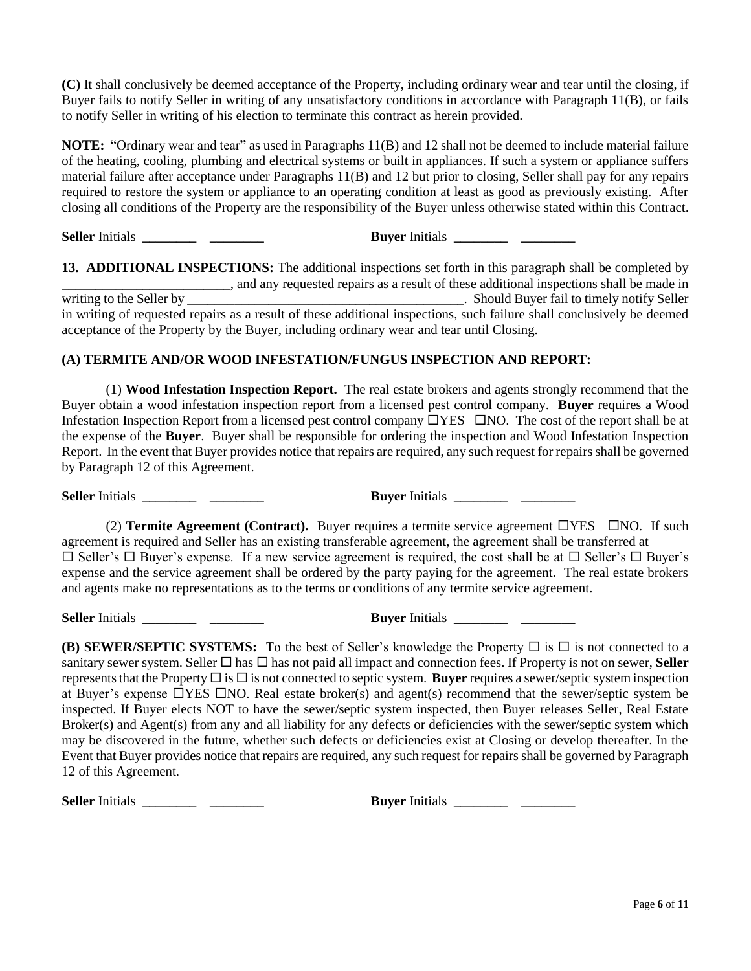**(C)** It shall conclusively be deemed acceptance of the Property, including ordinary wear and tear until the closing, if Buyer fails to notify Seller in writing of any unsatisfactory conditions in accordance with Paragraph 11(B), or fails to notify Seller in writing of his election to terminate this contract as herein provided.

**NOTE:** "Ordinary wear and tear" as used in Paragraphs 11(B) and 12 shall not be deemed to include material failure of the heating, cooling, plumbing and electrical systems or built in appliances. If such a system or appliance suffers material failure after acceptance under Paragraphs 11(B) and 12 but prior to closing, Seller shall pay for any repairs required to restore the system or appliance to an operating condition at least as good as previously existing. After closing all conditions of the Property are the responsibility of the Buyer unless otherwise stated within this Contract.

**Seller** Initials **\_\_\_\_\_\_\_\_ \_\_\_\_\_\_\_\_ Buyer** Initials **\_\_\_\_\_\_\_\_ \_\_\_\_\_\_\_\_**

**13. ADDITIONAL INSPECTIONS:** The additional inspections set forth in this paragraph shall be completed by and any requested repairs as a result of these additional inspections shall be made in<br>Should Buyer fail to timely notify Seller writing to the Seller by notify Seller by Lagrange Should Buyer fail to timely notify Seller in writing of requested repairs as a result of these additional inspections, such failure shall conclusively be deemed acceptance of the Property by the Buyer, including ordinary wear and tear until Closing.

### **(A) TERMITE AND/OR WOOD INFESTATION/FUNGUS INSPECTION AND REPORT:**

(1) **Wood Infestation Inspection Report.** The real estate brokers and agents strongly recommend that the Buyer obtain a wood infestation inspection report from a licensed pest control company. **Buyer** requires a Wood Infestation Inspection Report from a licensed pest control company  $\Box$ YES  $\Box$ NO. The cost of the report shall be at the expense of the **Buyer**. Buyer shall be responsible for ordering the inspection and Wood Infestation Inspection Report. In the event that Buyer provides notice that repairs are required, any such request for repairs shall be governed by Paragraph 12 of this Agreement.

**Seller** Initials **\_\_\_\_\_\_\_\_ \_\_\_\_\_\_\_\_ Buyer** Initials **\_\_\_\_\_\_\_\_ \_\_\_\_\_\_\_\_**

(2) **Termite Agreement (Contract).** Buyer requires a termite service agreement  $\Box$ YES  $\Box$ NO. If such agreement is required and Seller has an existing transferable agreement, the agreement shall be transferred at  $\Box$  Seller's  $\Box$  Buyer's expense. If a new service agreement is required, the cost shall be at  $\Box$  Seller's  $\Box$  Buyer's expense and the service agreement shall be ordered by the party paying for the agreement. The real estate brokers and agents make no representations as to the terms or conditions of any termite service agreement.

**Seller** Initials **\_\_\_\_\_\_\_\_ \_\_\_\_\_\_\_\_ Buyer** Initials **\_\_\_\_\_\_\_\_ \_\_\_\_\_\_\_\_**

**(B) SEWER/SEPTIC SYSTEMS:** To the best of Seller's knowledge the Property  $\Box$  is  $\Box$  is not connected to a sanitary sewer system. Seller  $\Box$  has  $\Box$  has not paid all impact and connection fees. If Property is not on sewer, Seller represents that the Property  $\Box$  is  $\Box$  is not connected to septic system. **Buyer** requires a sewer/septic system inspection at Buyer's expense  $\Box$ YES  $\Box$ NO. Real estate broker(s) and agent(s) recommend that the sewer/septic system be inspected. If Buyer elects NOT to have the sewer/septic system inspected, then Buyer releases Seller, Real Estate Broker(s) and Agent(s) from any and all liability for any defects or deficiencies with the sewer/septic system which may be discovered in the future, whether such defects or deficiencies exist at Closing or develop thereafter. In the Event that Buyer provides notice that repairs are required, any such request for repairs shall be governed by Paragraph 12 of this Agreement.

**Seller** Initials **\_\_\_\_\_\_\_\_ \_\_\_\_\_\_\_\_ Buyer** Initials **\_\_\_\_\_\_\_\_ \_\_\_\_\_\_\_\_**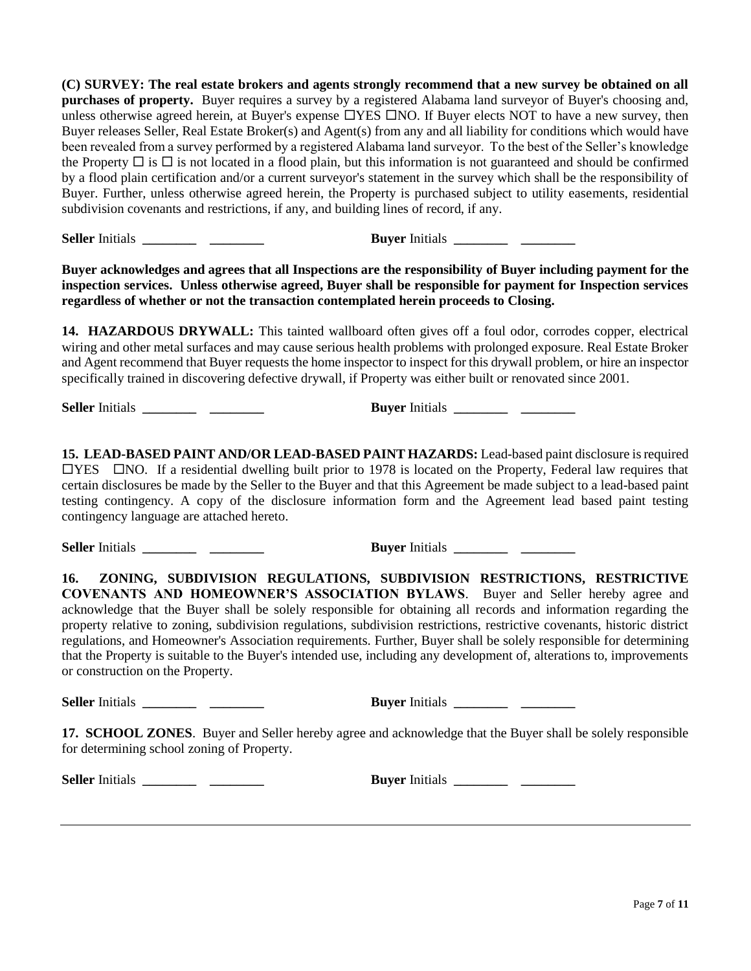**(C) SURVEY: The real estate brokers and agents strongly recommend that a new survey be obtained on all purchases of property.** Buyer requires a survey by a registered Alabama land surveyor of Buyer's choosing and, unless otherwise agreed herein, at Buyer's expense  $\Box$ YES  $\Box$ NO. If Buyer elects NOT to have a new survey, then Buyer releases Seller, Real Estate Broker(s) and Agent(s) from any and all liability for conditions which would have been revealed from a survey performed by a registered Alabama land surveyor. To the best of the Seller's knowledge the Property  $\Box$  is  $\Box$  is not located in a flood plain, but this information is not guaranteed and should be confirmed by a flood plain certification and/or a current surveyor's statement in the survey which shall be the responsibility of Buyer. Further, unless otherwise agreed herein, the Property is purchased subject to utility easements, residential subdivision covenants and restrictions, if any, and building lines of record, if any.

**Seller** Initials **\_\_\_\_\_\_\_\_ \_\_\_\_\_\_\_\_ Buyer** Initials **\_\_\_\_\_\_\_\_ \_\_\_\_\_\_\_\_**

**Buyer acknowledges and agrees that all Inspections are the responsibility of Buyer including payment for the inspection services. Unless otherwise agreed, Buyer shall be responsible for payment for Inspection services regardless of whether or not the transaction contemplated herein proceeds to Closing.**

**14. HAZARDOUS DRYWALL:** This tainted wallboard often gives off a foul odor, corrodes copper, electrical wiring and other metal surfaces and may cause serious health problems with prolonged exposure. Real Estate Broker and Agent recommend that Buyer requests the home inspector to inspect for this drywall problem, or hire an inspector specifically trained in discovering defective drywall, if Property was either built or renovated since 2001.

**Seller** Initials **\_\_\_\_\_\_\_\_ \_\_\_\_\_\_\_\_ Buyer** Initials **\_\_\_\_\_\_\_\_ \_\_\_\_\_\_\_\_**

**15. LEAD-BASED PAINT AND/OR LEAD-BASED PAINT HAZARDS:** Lead-based paint disclosure is required  $\Box$ YES  $\Box$ NO. If a residential dwelling built prior to 1978 is located on the Property, Federal law requires that certain disclosures be made by the Seller to the Buyer and that this Agreement be made subject to a lead-based paint testing contingency. A copy of the disclosure information form and the Agreement lead based paint testing contingency language are attached hereto.

**Seller** Initials **\_\_\_\_\_\_\_\_ \_\_\_\_\_\_\_\_ Buyer** Initials **\_\_\_\_\_\_\_\_ \_\_\_\_\_\_\_\_**

**16. ZONING, SUBDIVISION REGULATIONS, SUBDIVISION RESTRICTIONS, RESTRICTIVE COVENANTS AND HOMEOWNER'S ASSOCIATION BYLAWS**. Buyer and Seller hereby agree and acknowledge that the Buyer shall be solely responsible for obtaining all records and information regarding the property relative to zoning, subdivision regulations, subdivision restrictions, restrictive covenants, historic district regulations, and Homeowner's Association requirements. Further, Buyer shall be solely responsible for determining that the Property is suitable to the Buyer's intended use, including any development of, alterations to, improvements or construction on the Property.

**Seller** Initials **\_\_\_\_\_\_\_\_ \_\_\_\_\_\_\_\_ Buyer** Initials **\_\_\_\_\_\_\_\_ \_\_\_\_\_\_\_\_**

**17. SCHOOL ZONES**. Buyer and Seller hereby agree and acknowledge that the Buyer shall be solely responsible for determining school zoning of Property.

**Seller** Initials **\_\_\_\_\_\_\_\_ \_\_\_\_\_\_\_\_ Buyer** Initials **\_\_\_\_\_\_\_\_ \_\_\_\_\_\_\_\_**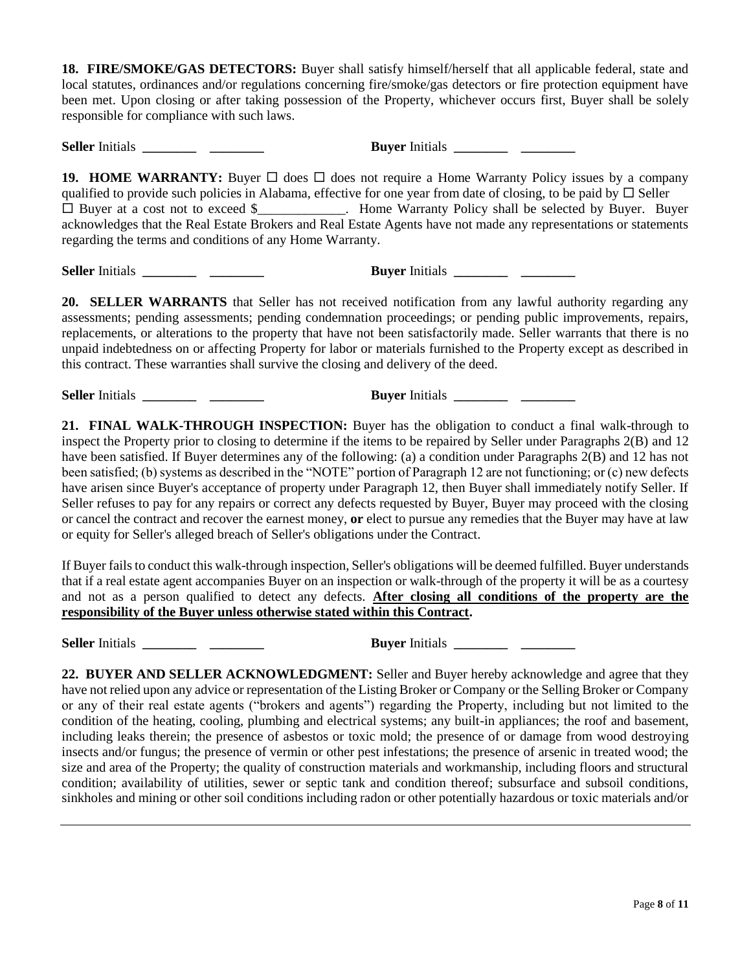**18. FIRE/SMOKE/GAS DETECTORS:** Buyer shall satisfy himself/herself that all applicable federal, state and local statutes, ordinances and/or regulations concerning fire/smoke/gas detectors or fire protection equipment have been met. Upon closing or after taking possession of the Property, whichever occurs first, Buyer shall be solely responsible for compliance with such laws.

**Seller** Initials **\_\_\_\_\_\_\_\_ \_\_\_\_\_\_\_\_ Buyer** Initials **\_\_\_\_\_\_\_\_ \_\_\_\_\_\_\_\_ 19. HOME WARRANTY:** Buyer  $\Box$  does  $\Box$  does not require a Home Warranty Policy issues by a company qualified to provide such policies in Alabama, effective for one year from date of closing, to be paid by  $\Box$  Seller □ Buyer at a cost not to exceed \$\_\_\_\_\_\_\_\_\_\_\_. Home Warranty Policy shall be selected by Buyer. Buyer acknowledges that the Real Estate Brokers and Real Estate Agents have not made any representations or statements regarding the terms and conditions of any Home Warranty.

**Seller** Initials **Buyer** Initials

**20. SELLER WARRANTS** that Seller has not received notification from any lawful authority regarding any assessments; pending assessments; pending condemnation proceedings; or pending public improvements, repairs, replacements, or alterations to the property that have not been satisfactorily made. Seller warrants that there is no unpaid indebtedness on or affecting Property for labor or materials furnished to the Property except as described in this contract. These warranties shall survive the closing and delivery of the deed.

**Seller** Initials **\_\_\_\_\_\_\_\_ \_\_\_\_\_\_\_\_ Buyer** Initials **\_\_\_\_\_\_\_\_ \_\_\_\_\_\_\_\_**

**21. FINAL WALK-THROUGH INSPECTION:** Buyer has the obligation to conduct a final walk-through to inspect the Property prior to closing to determine if the items to be repaired by Seller under Paragraphs 2(B) and 12 have been satisfied. If Buyer determines any of the following: (a) a condition under Paragraphs 2(B) and 12 has not been satisfied; (b) systems as described in the "NOTE" portion of Paragraph 12 are not functioning; or (c) new defects have arisen since Buyer's acceptance of property under Paragraph 12, then Buyer shall immediately notify Seller. If Seller refuses to pay for any repairs or correct any defects requested by Buyer, Buyer may proceed with the closing or cancel the contract and recover the earnest money, **or** elect to pursue any remedies that the Buyer may have at law or equity for Seller's alleged breach of Seller's obligations under the Contract.

If Buyer fails to conduct this walk-through inspection, Seller's obligations will be deemed fulfilled. Buyer understands that if a real estate agent accompanies Buyer on an inspection or walk-through of the property it will be as a courtesy and not as a person qualified to detect any defects. **After closing all conditions of the property are the responsibility of the Buyer unless otherwise stated within this Contract.**

**Seller** Initials **\_\_\_\_\_\_\_\_ \_\_\_\_\_\_\_\_ Buyer** Initials **\_\_\_\_\_\_\_\_ \_\_\_\_\_\_\_\_**

**22. BUYER AND SELLER ACKNOWLEDGMENT:** Seller and Buyer hereby acknowledge and agree that they have not relied upon any advice or representation of the Listing Broker or Company or the Selling Broker or Company or any of their real estate agents ("brokers and agents") regarding the Property, including but not limited to the condition of the heating, cooling, plumbing and electrical systems; any built-in appliances; the roof and basement, including leaks therein; the presence of asbestos or toxic mold; the presence of or damage from wood destroying insects and/or fungus; the presence of vermin or other pest infestations; the presence of arsenic in treated wood; the size and area of the Property; the quality of construction materials and workmanship, including floors and structural condition; availability of utilities, sewer or septic tank and condition thereof; subsurface and subsoil conditions, sinkholes and mining or other soil conditions including radon or other potentially hazardous or toxic materials and/or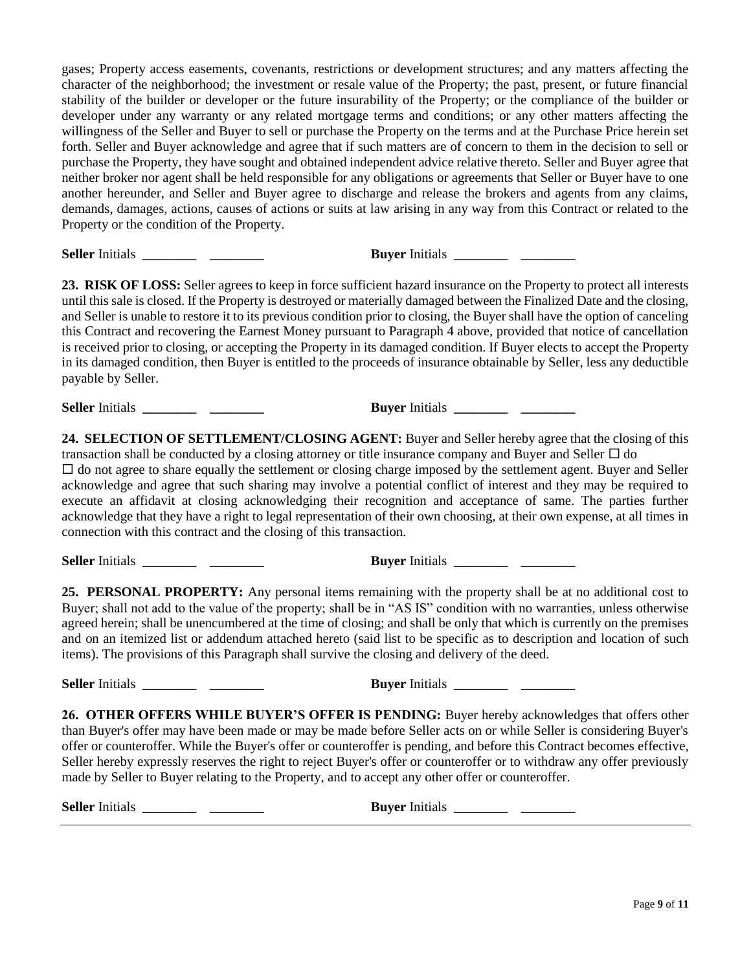gases; Property access easements, covenants, restrictions or development structures; and any matters affecting the character of the neighborhood; the investment or resale value of the Property; the past, present, or future financial stability of the builder or developer or the future insurability of the Property; or the compliance of the builder or developer under any warranty or any related mortgage terms and conditions; or any other matters affecting the willingness of the Seller and Buyer to sell or purchase the Property on the terms and at the Purchase Price herein set forth. Seller and Buyer acknowledge and agree that if such matters are of concern to them in the decision to sell or purchase the Property, they have sought and obtained independent advice relative thereto. Seller and Buyer agree that neither broker nor agent shall be held responsible for any obligations or agreements that Seller or Buyer have to one another hereunder, and Seller and Buyer agree to discharge and release the brokers and agents from any claims, demands, damages, actions, causes of actions or suits at law arising in any way from this Contract or related to the Property or the condition of the Property.

**Seller** Initials **\_\_\_\_\_\_\_\_ \_\_\_\_\_\_\_\_ Buyer** Initials **\_\_\_\_\_\_\_\_ \_\_\_\_\_\_\_\_**

**23. RISK OF LOSS:** Seller agrees to keep in force sufficient hazard insurance on the Property to protect all interests until this sale is closed. If the Property is destroyed or materially damaged between the Finalized Date and the closing, and Seller is unable to restore it to its previous condition prior to closing, the Buyer shall have the option of canceling this Contract and recovering the Earnest Money pursuant to Paragraph 4 above, provided that notice of cancellation is received prior to closing, or accepting the Property in its damaged condition. If Buyer elects to accept the Property in its damaged condition, then Buyer is entitled to the proceeds of insurance obtainable by Seller, less any deductible payable by Seller.

**Seller** Initials **\_\_\_\_\_\_\_\_ \_\_\_\_\_\_\_\_ Buyer** Initials **\_\_\_\_\_\_\_\_ \_\_\_\_\_\_\_\_**

**24. SELECTION OF SETTLEMENT/CLOSING AGENT:** Buyer and Seller hereby agree that the closing of this transaction shall be conducted by a closing attorney or title insurance company and Buyer and Seller  $\Box$  do  $\Box$  do not agree to share equally the settlement or closing charge imposed by the settlement agent. Buyer and Seller acknowledge and agree that such sharing may involve a potential conflict of interest and they may be required to execute an affidavit at closing acknowledging their recognition and acceptance of same. The parties further acknowledge that they have a right to legal representation of their own choosing, at their own expense, at all times in connection with this contract and the closing of this transaction.

**Seller** Initials **\_\_\_\_\_\_\_\_ \_\_\_\_\_\_\_\_ Buyer** Initials **\_\_\_\_\_\_\_\_ \_\_\_\_\_\_\_\_**

**25. PERSONAL PROPERTY:** Any personal items remaining with the property shall be at no additional cost to Buyer; shall not add to the value of the property; shall be in "AS IS" condition with no warranties, unless otherwise agreed herein; shall be unencumbered at the time of closing; and shall be only that which is currently on the premises and on an itemized list or addendum attached hereto (said list to be specific as to description and location of such items). The provisions of this Paragraph shall survive the closing and delivery of the deed.

**Seller** Initials **\_\_\_\_\_\_\_\_ \_\_\_\_\_\_\_\_ Buyer** Initials **\_\_\_\_\_\_\_\_ \_\_\_\_\_\_\_\_**

**26. OTHER OFFERS WHILE BUYER'S OFFER IS PENDING:** Buyer hereby acknowledges that offers other than Buyer's offer may have been made or may be made before Seller acts on or while Seller is considering Buyer's offer or counteroffer. While the Buyer's offer or counteroffer is pending, and before this Contract becomes effective, Seller hereby expressly reserves the right to reject Buyer's offer or counteroffer or to withdraw any offer previously made by Seller to Buyer relating to the Property, and to accept any other offer or counteroffer.

| <b>Seller Initials</b> | <b>Buver</b> Initials |
|------------------------|-----------------------|
|------------------------|-----------------------|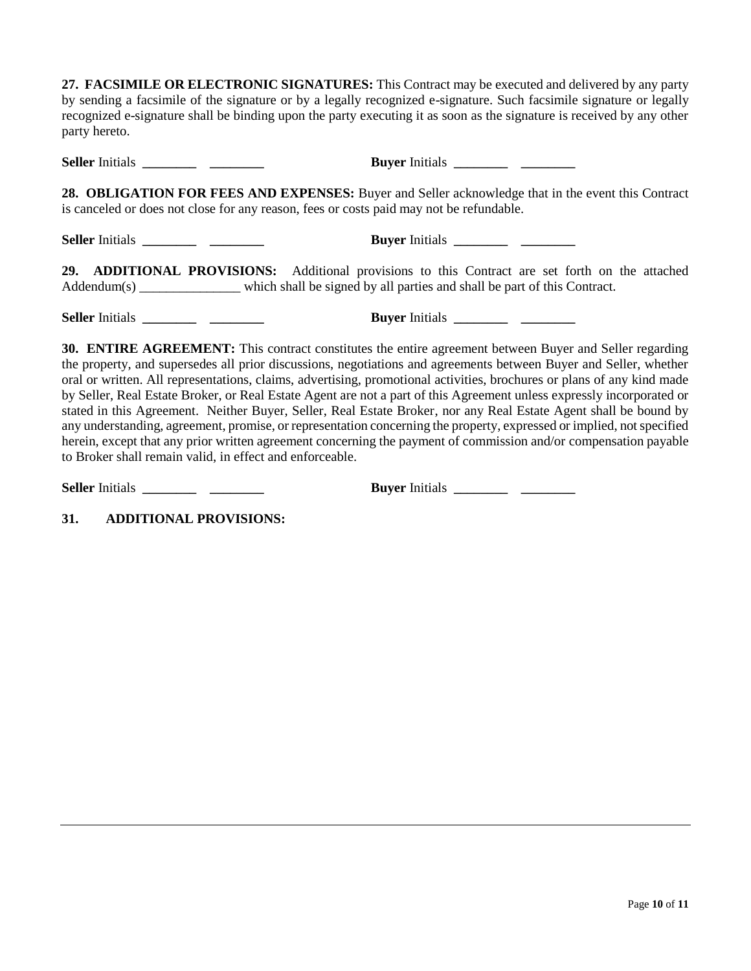**27. FACSIMILE OR ELECTRONIC SIGNATURES:** This Contract may be executed and delivered by any party by sending a facsimile of the signature or by a legally recognized e-signature. Such facsimile signature or legally recognized e-signature shall be binding upon the party executing it as soon as the signature is received by any other party hereto.

**Seller** Initials **\_\_\_\_\_\_\_\_ \_\_\_\_\_\_\_\_ Buyer** Initials **\_\_\_\_\_\_\_\_ \_\_\_\_\_\_\_\_**

**28. OBLIGATION FOR FEES AND EXPENSES:** Buyer and Seller acknowledge that in the event this Contract is canceled or does not close for any reason, fees or costs paid may not be refundable.

**Seller** Initials **\_\_\_\_\_\_\_\_ \_\_\_\_\_\_\_\_ Buyer** Initials **\_\_\_\_\_\_\_\_ \_\_\_\_\_\_\_\_**

**29. ADDITIONAL PROVISIONS:** Additional provisions to this Contract are set forth on the attached Addendum(s) which shall be signed by all parties and shall be part of this Contract.

**Seller** Initials **\_\_\_\_\_\_\_\_ \_\_\_\_\_\_\_\_ Buyer** Initials **\_\_\_\_\_\_\_\_ \_\_\_\_\_\_\_\_**

| <b>Buyer</b> Initials |  |
|-----------------------|--|
|                       |  |

**30. ENTIRE AGREEMENT:** This contract constitutes the entire agreement between Buyer and Seller regarding the property, and supersedes all prior discussions, negotiations and agreements between Buyer and Seller, whether oral or written. All representations, claims, advertising, promotional activities, brochures or plans of any kind made by Seller, Real Estate Broker, or Real Estate Agent are not a part of this Agreement unless expressly incorporated or stated in this Agreement. Neither Buyer, Seller, Real Estate Broker, nor any Real Estate Agent shall be bound by any understanding, agreement, promise, or representation concerning the property, expressed or implied, not specified herein, except that any prior written agreement concerning the payment of commission and/or compensation payable to Broker shall remain valid, in effect and enforceable.

**Seller** Initials **\_\_\_\_\_\_\_\_ \_\_\_\_\_\_\_\_ Buyer** Initials **\_\_\_\_\_\_\_\_ \_\_\_\_\_\_\_\_**

**31. ADDITIONAL PROVISIONS:**